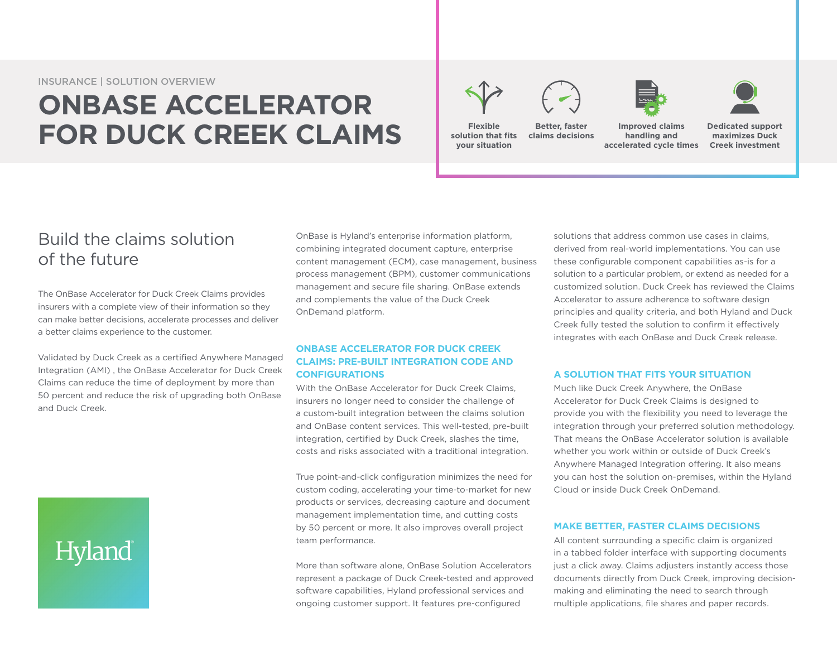INSURANCE | SOLUTION OVERVIEW

## **ONBASE ACCELERATOR FOR DUCK CREEK CLAIMS**







**Flexible solution that fits your situation Better, faster claims decisions**

**Improved claims handling and accelerated cycle times**

**Dedicated support maximizes Duck Creek investment**

### Build the claims solution of the future

The OnBase Accelerator for Duck Creek Claims provides insurers with a complete view of their information so they can make better decisions, accelerate processes and deliver a better claims experience to the customer.

Validated by Duck Creek as a certified Anywhere Managed Integration (AMI) , the OnBase Accelerator for Duck Creek Claims can reduce the time of deployment by more than 50 percent and reduce the risk of upgrading both OnBase and Duck Creek.

# Hyland

OnBase is Hyland's enterprise information platform, combining integrated document capture, enterprise content management (ECM), case management, business process management (BPM), customer communications management and secure file sharing. OnBase extends and complements the value of the Duck Creek OnDemand platform.

#### **ONBASE ACCELERATOR FOR DUCK CREEK CLAIMS: PRE-BUILT INTEGRATION CODE AND CONFIGURATIONS**

With the OnBase Accelerator for Duck Creek Claims, insurers no longer need to consider the challenge of a custom-built integration between the claims solution and OnBase content services. This well-tested, pre-built integration, certified by Duck Creek, slashes the time, costs and risks associated with a traditional integration.

True point-and-click configuration minimizes the need for custom coding, accelerating your time-to-market for new products or services, decreasing capture and document management implementation time, and cutting costs by 50 percent or more. It also improves overall project team performance.

More than software alone, OnBase Solution Accelerators represent a package of Duck Creek-tested and approved software capabilities, Hyland professional services and ongoing customer support. It features pre-configured

solutions that address common use cases in claims, derived from real-world implementations. You can use these configurable component capabilities as-is for a solution to a particular problem, or extend as needed for a customized solution. Duck Creek has reviewed the Claims Accelerator to assure adherence to software design principles and quality criteria, and both Hyland and Duck Creek fully tested the solution to confirm it effectively integrates with each OnBase and Duck Creek release.

#### **A SOLUTION THAT FITS YOUR SITUATION**

Much like Duck Creek Anywhere, the OnBase Accelerator for Duck Creek Claims is designed to provide you with the flexibility you need to leverage the integration through your preferred solution methodology. That means the OnBase Accelerator solution is available whether you work within or outside of Duck Creek's Anywhere Managed Integration offering. It also means you can host the solution on-premises, within the Hyland Cloud or inside Duck Creek OnDemand.

#### **MAKE BETTER, FASTER CLAIMS DECISIONS**

All content surrounding a specific claim is organized in a tabbed folder interface with supporting documents just a click away. Claims adjusters instantly access those documents directly from Duck Creek, improving decisionmaking and eliminating the need to search through multiple applications, file shares and paper records.